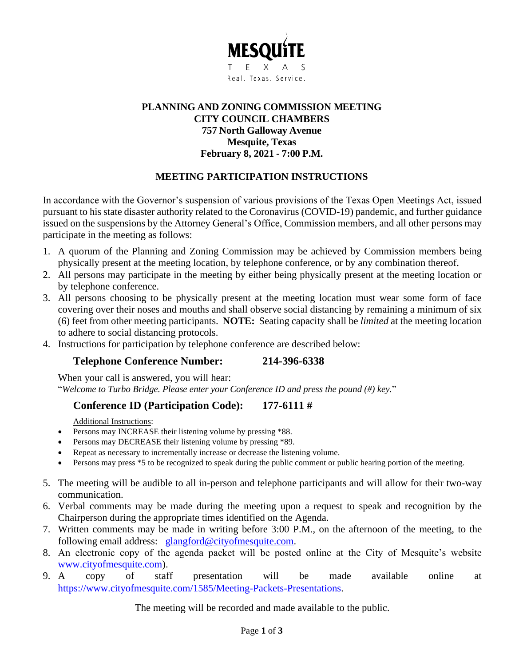

# **PLANNING AND ZONING COMMISSION MEETING CITY COUNCIL CHAMBERS 757 North Galloway Avenue Mesquite, Texas February 8, 2021 - 7:00 P.M.**

# **MEETING PARTICIPATION INSTRUCTIONS**

In accordance with the Governor's suspension of various provisions of the Texas Open Meetings Act, issued pursuant to his state disaster authority related to the Coronavirus (COVID-19) pandemic, and further guidance issued on the suspensions by the Attorney General's Office, Commission members, and all other persons may participate in the meeting as follows:

- 1. A quorum of the Planning and Zoning Commission may be achieved by Commission members being physically present at the meeting location, by telephone conference, or by any combination thereof.
- 2. All persons may participate in the meeting by either being physically present at the meeting location or by telephone conference.
- 3. All persons choosing to be physically present at the meeting location must wear some form of face covering over their noses and mouths and shall observe social distancing by remaining a minimum of six (6) feet from other meeting participants. **NOTE:** Seating capacity shall be *limited* at the meeting location to adhere to social distancing protocols.
- 4. Instructions for participation by telephone conference are described below:

# **Telephone Conference Number: 214-396-6338**

When your call is answered, you will hear: "*Welcome to Turbo Bridge. Please enter your Conference ID and press the pound (#) key.*"

# **Conference ID (Participation Code): 177-6111 #**

Additional Instructions:

- Persons may INCREASE their listening volume by pressing \*88.
- Persons may DECREASE their listening volume by pressing \*89.
- Repeat as necessary to incrementally increase or decrease the listening volume.
- Persons may press \*5 to be recognized to speak during the public comment or public hearing portion of the meeting.
- 5. The meeting will be audible to all in-person and telephone participants and will allow for their two-way communication.
- 6. Verbal comments may be made during the meeting upon a request to speak and recognition by the Chairperson during the appropriate times identified on the Agenda.
- 7. Written comments may be made in writing before 3:00 P.M., on the afternoon of the meeting, to the following email address: [glangford@cityofmesquite.com.](mailto:glangford@cityofmesquite.com)
- 8. An electronic copy of the agenda packet will be posted online at the City of Mesquite's website [www.cityofmesquite.com\)](http://www.cityofmesquite.com/).
- 9. A copy of staff presentation will be made available online at [https://www.cityofmesquite.com/1585/Meeting-Packets-Presentations.](https://www.cityofmesquite.com/1585/Meeting-Packets-Presentations)

The meeting will be recorded and made available to the public.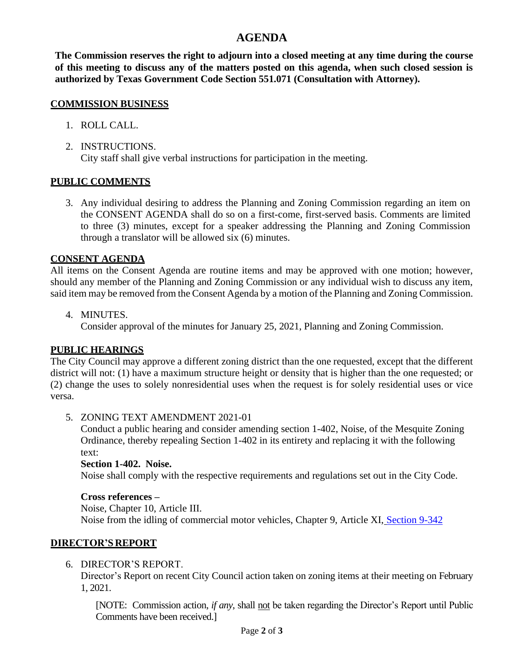# **AGENDA**

**The Commission reserves the right to adjourn into a closed meeting at any time during the course of this meeting to discuss any of the matters posted on this agenda, when such closed session is authorized by Texas Government Code Section 551.071 (Consultation with Attorney).**

#### **COMMISSION BUSINESS**

- 1. ROLL CALL.
- 2. INSTRUCTIONS. City staff shall give verbal instructions for participation in the meeting.

# **PUBLIC COMMENTS**

3. Any individual desiring to address the Planning and Zoning Commission regarding an item on the CONSENT AGENDA shall do so on a first-come, first-served basis. Comments are limited to three (3) minutes, except for a speaker addressing the Planning and Zoning Commission through a translator will be allowed six (6) minutes.

# **CONSENT AGENDA**

All items on the Consent Agenda are routine items and may be approved with one motion; however, should any member of the Planning and Zoning Commission or any individual wish to discuss any item, said item may be removed from the Consent Agenda by a motion of the Planning and Zoning Commission.

4. MINUTES.

Consider approval of the minutes for January 25, 2021, Planning and Zoning Commission.

# **PUBLIC HEARINGS**

The City Council may approve a different zoning district than the one requested, except that the different district will not: (1) have a maximum structure height or density that is higher than the one requested; or (2) change the uses to solely nonresidential uses when the request is for solely residential uses or vice versa.

#### 5. ZONING TEXT AMENDMENT 2021-01

Conduct a public hearing and consider amending section 1-402, Noise, of the Mesquite Zoning Ordinance, thereby repealing Section 1-402 in its entirety and replacing it with the following text:

#### **Section 1-402. Noise.**

Noise shall comply with the respective requirements and regulations set out in the City Code.

#### **Cross references –**

Noise, Chapter 10, Article III. Noise from the idling of commercial motor vehicles, Chapter 9, Article XI, [Section 9-342](https://library.municode.com/tx/mesquite/codes/code_of_ordinances?nodeId=PTIICOOR_CH9MOVETR_ARTXIAIPO_S9-342NOIDCOMOVE)

# **DIRECTOR'S REPORT**

# 6. DIRECTOR'S REPORT.

Director's Report on recent City Council action taken on zoning items at their meeting on February 1, 2021.

[NOTE: Commission action, *if any*, shall not be taken regarding the Director's Report until Public Comments have been received.]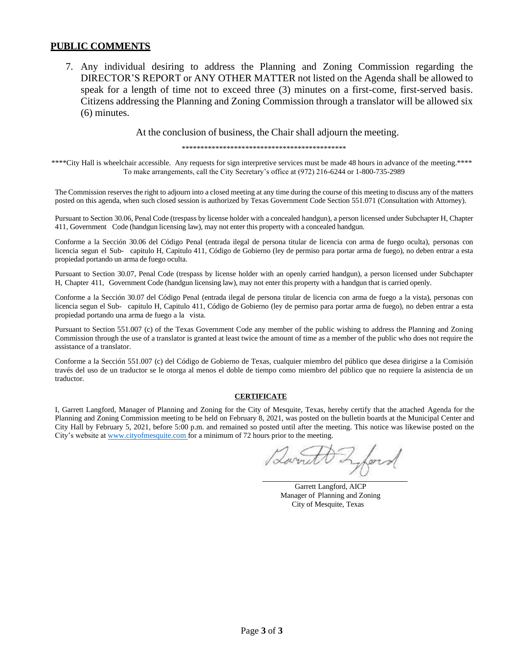#### **PUBLIC COMMENTS**

7. Any individual desiring to address the Planning and Zoning Commission regarding the DIRECTOR'S REPORT or ANY OTHER MATTER not listed on the Agenda shall be allowed to speak for a length of time not to exceed three (3) minutes on a first-come, first-served basis. Citizens addressing the Planning and Zoning Commission through a translator will be allowed six (6) minutes.

At the conclusion of business, the Chair shall adjourn the meeting.

\*\*\*\*\*\*\*\*\*\*\*\*\*\*\*\*\*\*\*\*\*\*\*\*\*\*\*\*\*\*\*\*\*\*\*\*\*\*\*\*\*\*\*\*

\*\*\*\*City Hall is wheelchair accessible. Any requests for sign interpretive services must be made 48 hours in advance of the meeting.\*\*\*\* To make arrangements, call the City Secretary's office at (972) 216-6244 or 1-800-735-2989

The Commission reserves the right to adjourn into a closed meeting at any time during the course of this meeting to discuss any of the matters posted on this agenda, when such closed session is authorized by Texas Government Code Section 551.071 (Consultation with Attorney).

Pursuant to Section 30.06, Penal Code (trespass by license holder with a concealed handgun), a person licensed under Subchapter H, Chapter 411, Government Code (handgun licensing law), may not enter this property with a concealed handgun.

Conforme a la Sección 30.06 del Código Penal (entrada ilegal de persona titular de licencia con arma de fuego oculta), personas con licencia segun el Sub- capitulo H, Capitulo 411, Código de Gobierno (ley de permiso para portar arma de fuego), no deben entrar a esta propiedad portando un arma de fuego oculta.

Pursuant to Section 30.07, Penal Code (trespass by license holder with an openly carried handgun), a person licensed under Subchapter H, Chapter 411, Government Code (handgun licensing law), may not enter this property with a handgun that is carried openly.

Conforme a la Sección 30.07 del Código Penal (entrada ilegal de persona titular de licencia con arma de fuego a la vista), personas con licencia segun el Sub- capitulo H, Capitulo 411, Código de Gobierno (ley de permiso para portar arma de fuego), no deben entrar a esta propiedad portando una arma de fuego a la vista.

Pursuant to Section 551.007 (c) of the Texas Government Code any member of the public wishing to address the Planning and Zoning Commission through the use of a translator is granted at least twice the amount of time as a member of the public who does not require the assistance of a translator.

Conforme a la Sección 551.007 (c) del Código de Gobierno de Texas, cualquier miembro del público que desea dirigirse a la Comisión través del uso de un traductor se le otorga al menos el doble de tiempo como miembro del público que no requiere la asistencia de un traductor.

#### **CERTIFICATE**

I, Garrett Langford, Manager of Planning and Zoning for the City of Mesquite, Texas, hereby certify that the attached Agenda for the Planning and Zoning Commission meeting to be held on February 8, 2021, was posted on the bulletin boards at the Municipal Center and City Hall by February 5, 2021, before 5:00 p.m. and remained so posted until after the meeting. This notice was likewise posted on the City's website at [www.cityofmesquite.com f](http://www.cityofmesquite.com/)or a minimum of 72 hours prior to the meeting.

you

Garrett Langford, AICP Manager of Planning and Zoning City of Mesquite, Texas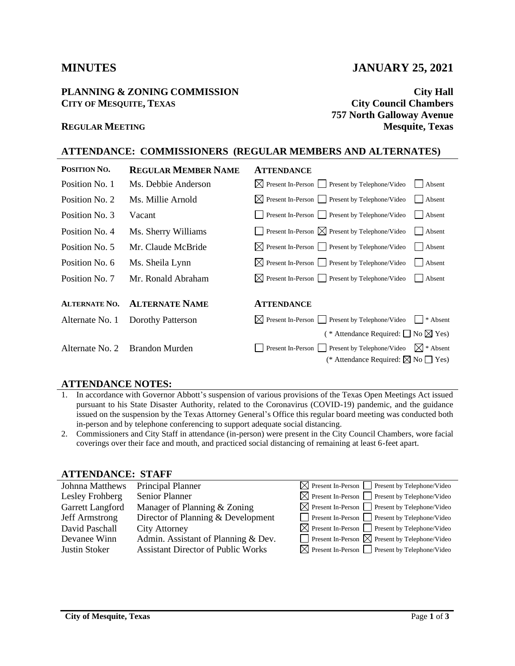#### **PLANNING & ZONING COMMISSION City Hall CITY OF MESQUITE, TEXAS City Council Chambers**

# **MINUTES JANUARY 25, 2021**

**757 North Galloway Avenue REGULAR MEETING Mesquite, Texas**

# **ATTENDANCE: COMMISSIONERS (REGULAR MEMBERS AND ALTERNATES)**

| POSITION NO.         | <b>REGULAR MEMBER NAME</b>     | <b>ATTENDANCE</b>                                                         |
|----------------------|--------------------------------|---------------------------------------------------------------------------|
| Position No. 1       | Ms. Debbie Anderson            | $\boxtimes$ Present In-Person Present by Telephone/Video<br>Absent        |
| Position No. 2       | Ms. Millie Arnold              | $\boxtimes$ Present In-Person $\Box$ Present by Telephone/Video<br>Absent |
| Position No. 3       | Vacant                         | Present In-Person Present by Telephone/Video<br>Absent                    |
| Position No. 4       | Ms. Sherry Williams            | <b>Present In-Person</b> $\boxtimes$ Present by Telephone/Video<br>Absent |
| Position No. 5       | Mr. Claude McBride             | $\boxtimes$ Present In-Person $\Box$ Present by Telephone/Video<br>Absent |
| Position No. 6       | Ms. Sheila Lynn                | $\boxtimes$ Present In-Person $\Box$ Present by Telephone/Video<br>Absent |
| Position No. 7       | Mr. Ronald Abraham             | $\boxtimes$ Present In-Person $\Box$ Present by Telephone/Video<br>Absent |
|                      |                                |                                                                           |
| <b>ALTERNATE NO.</b> | <b>ALTERNATE NAME</b>          | <b>ATTENDANCE</b>                                                         |
| Alternate No. 1      | Dorothy Patterson              | $\boxtimes$ Present In-Person Present by Telephone/Video<br>* Absent      |
|                      |                                | (* Attendance Required: $\Box$ No $\boxtimes$ Yes)                        |
|                      | Alternate No. 2 Brandon Murden | Present by Telephone/Video<br>$\boxtimes$ * Absent<br>Present In-Person   |
|                      |                                | (* Attendance Required: $\boxtimes$ No $\Box$ Yes)                        |

#### **ATTENDANCE NOTES:**

- 1. In accordance with Governor Abbott's suspension of various provisions of the Texas Open Meetings Act issued pursuant to his State Disaster Authority, related to the Coronavirus (COVID-19) pandemic, and the guidance issued on the suspension by the Texas Attorney General's Office this regular board meeting was conducted both in-person and by telephone conferencing to support adequate social distancing.
- 2. Commissioners and City Staff in attendance (in-person) were present in the City Council Chambers, wore facial coverings over their face and mouth, and practiced social distancing of remaining at least 6-feet apart.

#### **ATTENDANCE: STAFF**

| Johnna Matthews       | Principal Planner                         | $\boxtimes$ Present In-Person $\Box$ Present by Telephone/Video |
|-----------------------|-------------------------------------------|-----------------------------------------------------------------|
| Lesley Frohberg       | Senior Planner                            | $\boxtimes$ Present In-Person $\Box$ Present by Telephone/Video |
| Garrett Langford      | Manager of Planning & Zoning              | $\boxtimes$ Present In-Person $\Box$ Present by Telephone/Video |
| <b>Jeff Armstrong</b> | Director of Planning & Development        |                                                                 |
| David Paschall        | <b>City Attorney</b>                      | $\boxtimes$ Present In-Person $\Box$ Present by Telephone/Video |
| Devanee Winn          | Admin. Assistant of Planning & Dev.       | <b>Present In-Person</b> $\boxtimes$ Present by Telephone/Video |
| Justin Stoker         | <b>Assistant Director of Public Works</b> | $\boxtimes$ Present In-Person Present by Telephone/Video        |
|                       |                                           | Present In-Person Present by Telephone/Video                    |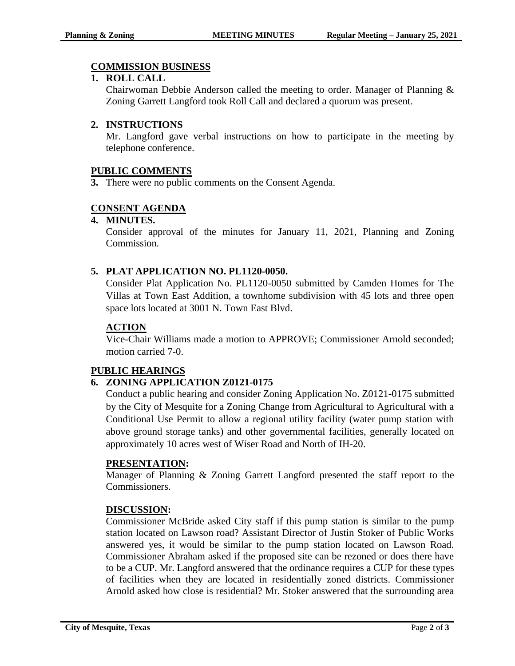# **COMMISSION BUSINESS**

# **1. ROLL CALL**

Chairwoman Debbie Anderson called the meeting to order. Manager of Planning & Zoning Garrett Langford took Roll Call and declared a quorum was present.

# **2. INSTRUCTIONS**

Mr. Langford gave verbal instructions on how to participate in the meeting by telephone conference.

# **PUBLIC COMMENTS**

**3.** There were no public comments on the Consent Agenda.

# **CONSENT AGENDA**

# **4. MINUTES.**

Consider approval of the minutes for January 11, 2021, Planning and Zoning Commission.

# **5. PLAT APPLICATION NO. PL1120-0050.**

Consider Plat Application No. PL1120-0050 submitted by Camden Homes for The Villas at Town East Addition, a townhome subdivision with 45 lots and three open space lots located at 3001 N. Town East Blvd.

# **ACTION**

Vice-Chair Williams made a motion to APPROVE; Commissioner Arnold seconded; motion carried 7-0.

# **PUBLIC HEARINGS**

# **6. ZONING APPLICATION Z0121-0175**

Conduct a public hearing and consider Zoning Application No. Z0121-0175 submitted by the City of Mesquite for a Zoning Change from Agricultural to Agricultural with a Conditional Use Permit to allow a regional utility facility (water pump station with above ground storage tanks) and other governmental facilities, generally located on approximately 10 acres west of Wiser Road and North of IH-20.

# **PRESENTATION:**

Manager of Planning & Zoning Garrett Langford presented the staff report to the Commissioners.

# **DISCUSSION:**

Commissioner McBride asked City staff if this pump station is similar to the pump station located on Lawson road? Assistant Director of Justin Stoker of Public Works answered yes, it would be similar to the pump station located on Lawson Road. Commissioner Abraham asked if the proposed site can be rezoned or does there have to be a CUP. Mr. Langford answered that the ordinance requires a CUP for these types of facilities when they are located in residentially zoned districts. Commissioner Arnold asked how close is residential? Mr. Stoker answered that the surrounding area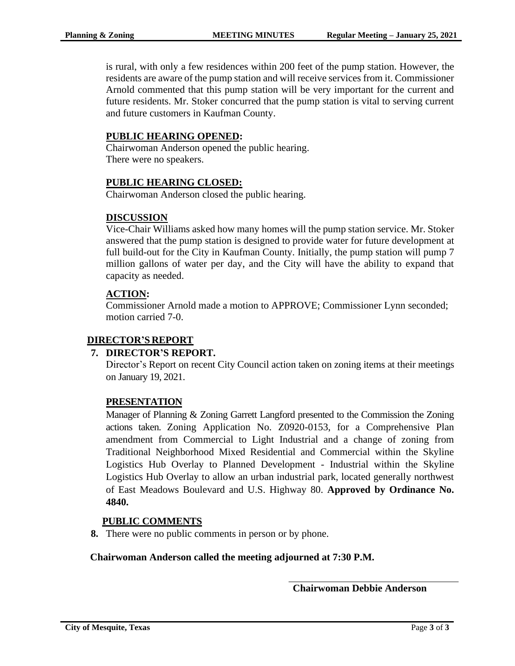is rural, with only a few residences within 200 feet of the pump station. However, the residents are aware of the pump station and will receive services from it. Commissioner Arnold commented that this pump station will be very important for the current and future residents. Mr. Stoker concurred that the pump station is vital to serving current and future customers in Kaufman County.

# **PUBLIC HEARING OPENED:**

Chairwoman Anderson opened the public hearing. There were no speakers.

# **PUBLIC HEARING CLOSED:**

Chairwoman Anderson closed the public hearing.

# **DISCUSSION**

Vice-Chair Williams asked how many homes will the pump station service. Mr. Stoker answered that the pump station is designed to provide water for future development at full build-out for the City in Kaufman County. Initially, the pump station will pump 7 million gallons of water per day, and the City will have the ability to expand that capacity as needed.

# **ACTION:**

Commissioner Arnold made a motion to APPROVE; Commissioner Lynn seconded; motion carried 7-0.

# **DIRECTOR'S REPORT**

# **7. DIRECTOR'S REPORT.**

Director's Report on recent City Council action taken on zoning items at their meetings on January 19, 2021.

# **PRESENTATION**

Manager of Planning & Zoning Garrett Langford presented to the Commission the Zoning actions taken. Zoning Application No. Z0920-0153, for a Comprehensive Plan amendment from Commercial to Light Industrial and a change of zoning from Traditional Neighborhood Mixed Residential and Commercial within the Skyline Logistics Hub Overlay to Planned Development - Industrial within the Skyline Logistics Hub Overlay to allow an urban industrial park, located generally northwest of East Meadows Boulevard and U.S. Highway 80. **Approved by Ordinance No. 4840.**

# **PUBLIC COMMENTS**

**8.** There were no public comments in person or by phone.

# **Chairwoman Anderson called the meeting adjourned at 7:30 P.M.**

**Chairwoman Debbie Anderson**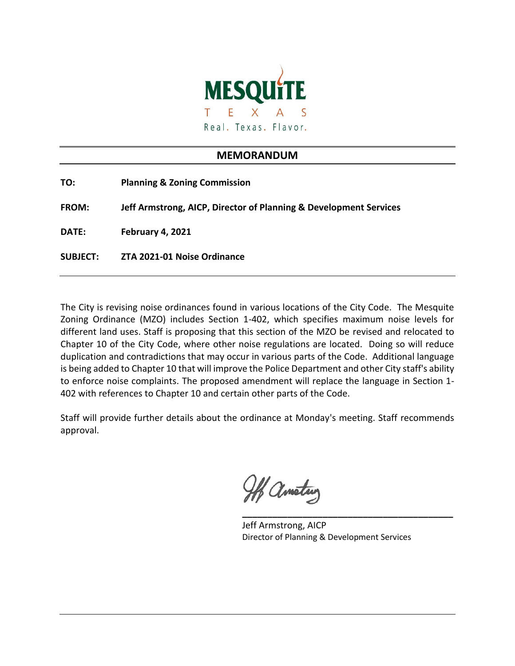

# **MEMORANDUM**

| TO:             | <b>Planning &amp; Zoning Commission</b>                           |
|-----------------|-------------------------------------------------------------------|
| <b>FROM:</b>    | Jeff Armstrong, AICP, Director of Planning & Development Services |
| <b>DATE:</b>    | February 4, 2021                                                  |
| <b>SUBJECT:</b> | ZTA 2021-01 Noise Ordinance                                       |

The City is revising noise ordinances found in various locations of the City Code. The Mesquite Zoning Ordinance (MZO) includes Section 1-402, which specifies maximum noise levels for different land uses. Staff is proposing that this section of the MZO be revised and relocated to Chapter 10 of the City Code, where other noise regulations are located. Doing so will reduce duplication and contradictions that may occur in various parts of the Code. Additional language is being added to Chapter 10 that will improve the Police Department and other City staff's ability to enforce noise complaints. The proposed amendment will replace the language in Section 1- 402 with references to Chapter 10 and certain other parts of the Code.

Staff will provide further details about the ordinance at Monday's meeting. Staff recommends approval.

H ametry

Jeff Armstrong, AICP Director of Planning & Development Services

**\_\_\_\_\_\_\_\_\_\_\_\_\_\_\_\_\_\_\_\_\_\_\_\_\_\_\_\_\_\_\_\_\_\_\_\_\_\_\_\_\_\_**